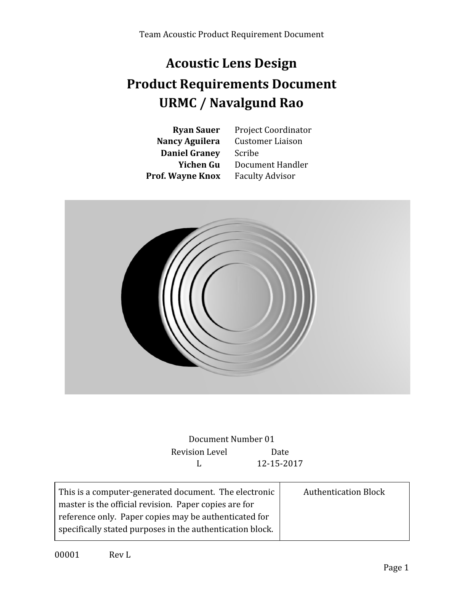# **Acoustic Lens Design Product Requirements Document URMC / Navalgund Rao**

**Daniel Graney** Scribe **Prof. Wayne Knox** Faculty Advisor

**Ryan Sauer** Project Coordinator **Nancy Aguilera** Customer Liaison **Yichen Gu** Document Handler



Document Number 01 Revision Level Date L 12-15-2017

| This is a computer-generated document. The electronic     | <b>Authentication Block</b> |
|-----------------------------------------------------------|-----------------------------|
| master is the official revision. Paper copies are for     |                             |
| reference only. Paper copies may be authenticated for     |                             |
| specifically stated purposes in the authentication block. |                             |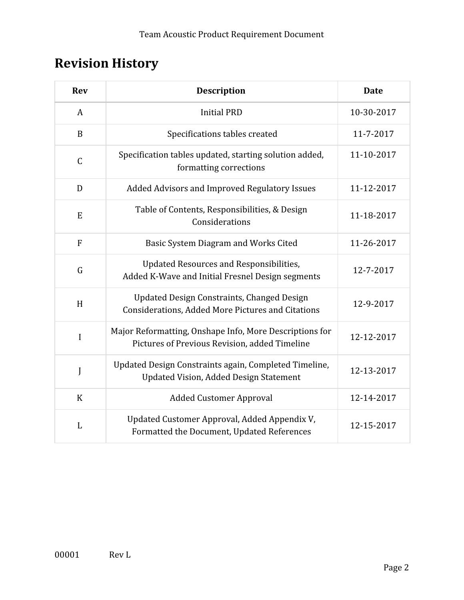# **Revision History**

| <b>Rev</b>   | <b>Description</b>                                                                                       | <b>Date</b> |
|--------------|----------------------------------------------------------------------------------------------------------|-------------|
| A            | <b>Initial PRD</b>                                                                                       | 10-30-2017  |
| $\mathbf B$  | Specifications tables created                                                                            | 11-7-2017   |
| $\mathsf C$  | Specification tables updated, starting solution added,<br>formatting corrections                         | 11-10-2017  |
| D            | Added Advisors and Improved Regulatory Issues                                                            | 11-12-2017  |
| E            | Table of Contents, Responsibilities, & Design<br>Considerations                                          | 11-18-2017  |
| F            | Basic System Diagram and Works Cited                                                                     | 11-26-2017  |
| G            | Updated Resources and Responsibilities,<br>Added K-Wave and Initial Fresnel Design segments              | 12-7-2017   |
| H            | Updated Design Constraints, Changed Design<br><b>Considerations, Added More Pictures and Citations</b>   | 12-9-2017   |
| I            | Major Reformatting, Onshape Info, More Descriptions for<br>Pictures of Previous Revision, added Timeline | 12-12-2017  |
| J            | Updated Design Constraints again, Completed Timeline,<br><b>Updated Vision, Added Design Statement</b>   | 12-13-2017  |
| $\mathbf K$  | <b>Added Customer Approval</b>                                                                           | 12-14-2017  |
| $\mathbf{L}$ | Updated Customer Approval, Added Appendix V,<br>Formatted the Document, Updated References               | 12-15-2017  |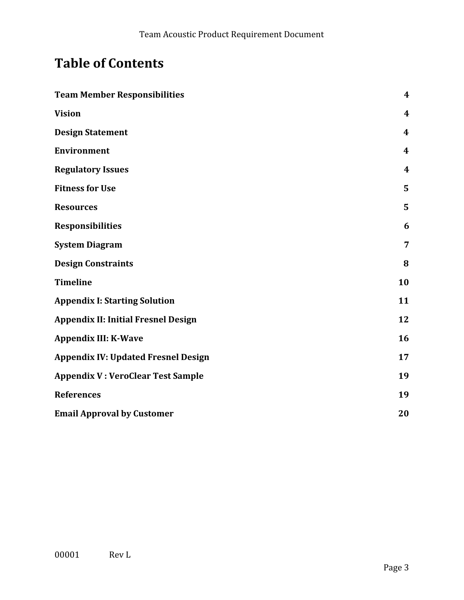# **Table of Contents**

| <b>Team Member Responsibilities</b>        | $\boldsymbol{4}$ |
|--------------------------------------------|------------------|
| <b>Vision</b>                              | 4                |
| <b>Design Statement</b>                    | 4                |
| <b>Environment</b>                         | $\boldsymbol{4}$ |
| <b>Regulatory Issues</b>                   | $\boldsymbol{4}$ |
| <b>Fitness for Use</b>                     | 5                |
| <b>Resources</b>                           | 5                |
| <b>Responsibilities</b>                    | 6                |
| <b>System Diagram</b>                      | 7                |
| <b>Design Constraints</b>                  | 8                |
| <b>Timeline</b>                            | 10               |
| <b>Appendix I: Starting Solution</b>       | 11               |
| <b>Appendix II: Initial Fresnel Design</b> | 12               |
| <b>Appendix III: K-Wave</b>                | 16               |
| <b>Appendix IV: Updated Fresnel Design</b> | 17               |
| <b>Appendix V: VeroClear Test Sample</b>   | 19               |
| <b>References</b>                          | 19               |
| <b>Email Approval by Customer</b>          | 20               |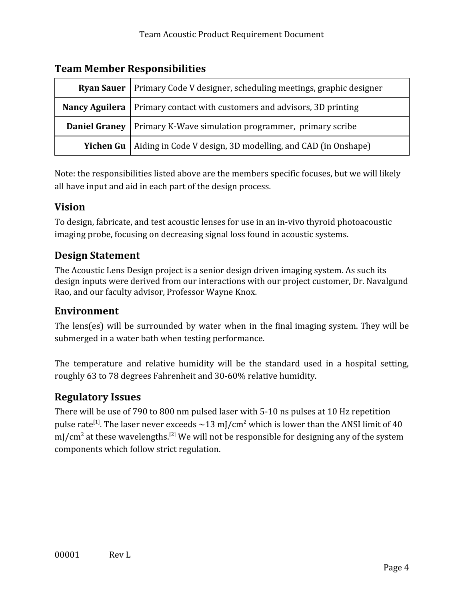| <b>Ryan Sauer</b>   Primary Code V designer, scheduling meetings, graphic designer |                                                             |  |  |  |  |
|------------------------------------------------------------------------------------|-------------------------------------------------------------|--|--|--|--|
| <b>Nancy Aguilera</b>   Primary contact with customers and advisors, 3D printing   |                                                             |  |  |  |  |
| Primary K-Wave simulation programmer, primary scribe<br>Daniel Graney              |                                                             |  |  |  |  |
| <b>Yichen Gu</b>                                                                   | Aiding in Code V design, 3D modelling, and CAD (in Onshape) |  |  |  |  |

## <span id="page-3-0"></span>**Team Member Responsibilities**

Note: the responsibilities listed above are the members specific focuses, but we will likely all have input and aid in each part of the design process.

## <span id="page-3-1"></span>**Vision**

To design, fabricate, and test acoustic lenses for use in an in-vivo thyroid photoacoustic imaging probe, focusing on decreasing signal loss found in acoustic systems.

## <span id="page-3-2"></span>**Design Statement**

The Acoustic Lens Design project is a senior design driven imaging system. As such its design inputs were derived from our interactions with our project customer, Dr. Navalgund Rao, and our faculty advisor, Professor Wayne Knox.

## <span id="page-3-3"></span>**Environment**

The lens(es) will be surrounded by water when in the final imaging system. They will be submerged in a water bath when testing performance.

The temperature and relative humidity will be the standard used in a hospital setting, roughly 63 to 78 degrees Fahrenheit and 30-60% relative humidity.

## <span id="page-3-4"></span>**Regulatory Issues**

There will be use of 790 to 800 nm pulsed laser with 5-10 ns pulses at 10 Hz repetition pulse rate<sup>[1]</sup>. The laser never exceeds  $\sim$ 13 mJ/cm<sup>2</sup> which is lower than the ANSI limit of 40 mJ/cm<sup>2</sup> at these wavelengths.<sup>[2]</sup> We will not be responsible for designing any of the system components which follow strict regulation.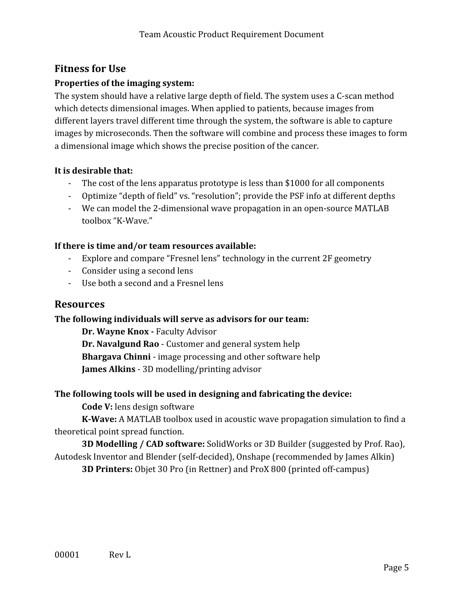## <span id="page-4-0"></span>**Fitness for Use**

### **Properties of the imaging system:**

The system should have a relative large depth of field. The system uses a C-scan method which detects dimensional images. When applied to patients, because images from different layers travel different time through the system, the software is able to capture images by microseconds. Then the software will combine and process these images to form a dimensional image which shows the precise position of the cancer.

#### **It is desirable that:**

- The cost of the lens apparatus prototype is less than \$1000 for all components
- Optimize "depth of field" vs. "resolution"; provide the PSF info at different depths
- We can model the 2-dimensional wave propagation in an open-source MATLAB toolbox "K-Wave."

#### **If there is time and/or team resources available:**

- Explore and compare "Fresnel lens" technology in the current 2F geometry
- Consider using a second lens
- Use both a second and a Fresnel lens

## <span id="page-4-1"></span>**Resources**

#### **The following individuals will serve as advisors for our team:**

**Dr. Wayne Knox -** Faculty Advisor **Dr. Navalgund Rao** - Customer and general system help **Bhargava Chinni** - image processing and other software help **James Alkins** - 3D modelling/printing advisor

#### **The following tools will be used in designing and fabricating the device:**

**Code V:** lens design software

**K-Wave:** A MATLAB toolbox used in acoustic wave propagation simulation to find a theoretical point spread function.

**3D Modelling / CAD software:** SolidWorks or 3D Builder (suggested by Prof. Rao), Autodesk Inventor and Blender (self-decided), Onshape (recommended by James Alkin)

**3D Printers:** Objet 30 Pro (in Rettner) and ProX 800 (printed off-campus)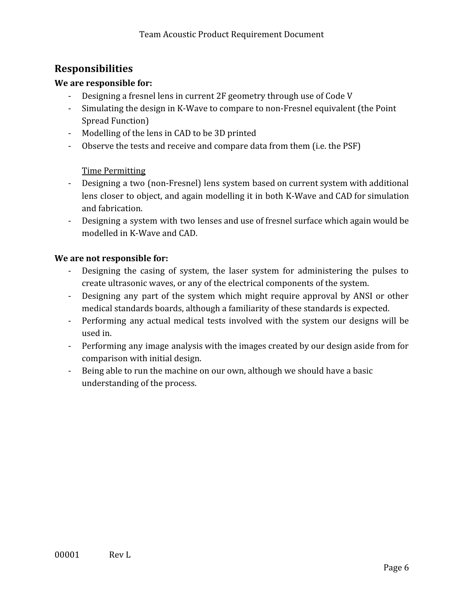## <span id="page-5-0"></span>**Responsibilities**

#### **We are responsible for:**

- Designing a fresnel lens in current 2F geometry through use of Code V
- Simulating the design in K-Wave to compare to non-Fresnel equivalent (the Point Spread Function)
- Modelling of the lens in CAD to be 3D printed
- Observe the tests and receive and compare data from them (i.e. the PSF)

#### Time Permitting

- Designing a two (non-Fresnel) lens system based on current system with additional lens closer to object, and again modelling it in both K-Wave and CAD for simulation and fabrication.
- Designing a system with two lenses and use of fresnel surface which again would be modelled in K-Wave and CAD.

#### **We are not responsible for:**

- Designing the casing of system, the laser system for administering the pulses to create ultrasonic waves, or any of the electrical components of the system.
- Designing any part of the system which might require approval by ANSI or other medical standards boards, although a familiarity of these standards is expected.
- Performing any actual medical tests involved with the system our designs will be used in.
- Performing any image analysis with the images created by our design aside from for comparison with initial design.
- Being able to run the machine on our own, although we should have a basic understanding of the process.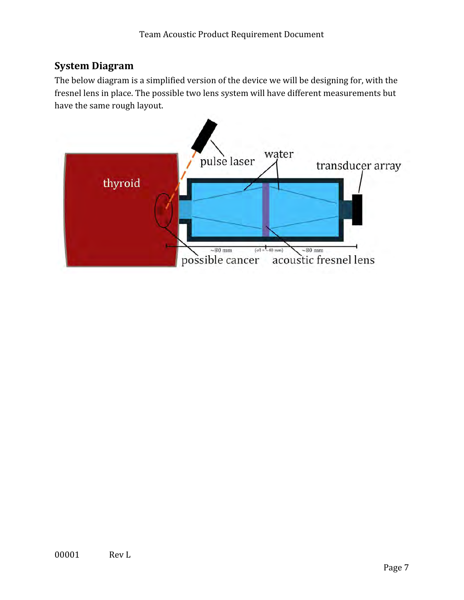## <span id="page-6-0"></span>**System Diagram**

The below diagram is a simplified version of the device we will be designing for, with the fresnel lens in place. The possible two lens system will have different measurements but have the same rough layout.

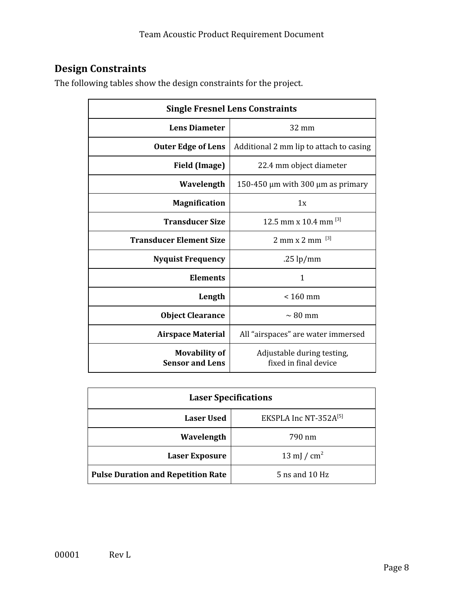# <span id="page-7-0"></span>**Design Constraints**

The following tables show the design constraints for the project.

| <b>Single Fresnel Lens Constraints</b>         |                                                     |  |  |  |
|------------------------------------------------|-----------------------------------------------------|--|--|--|
| <b>Lens Diameter</b>                           | $32 \text{ mm}$                                     |  |  |  |
| <b>Outer Edge of Lens</b>                      | Additional 2 mm lip to attach to casing             |  |  |  |
| <b>Field (Image)</b>                           | 22.4 mm object diameter                             |  |  |  |
| Wavelength                                     | 150-450 $\mu$ m with 300 $\mu$ m as primary         |  |  |  |
| <b>Magnification</b>                           | 1x                                                  |  |  |  |
| <b>Transducer Size</b>                         | 12.5 mm x 10.4 mm [3]                               |  |  |  |
| <b>Transducer Element Size</b>                 | $2 \text{ mm} \times 2 \text{ mm}$ <sup>[3]</sup>   |  |  |  |
| <b>Nyquist Frequency</b>                       | .25 $lp/mm$                                         |  |  |  |
| <b>Elements</b>                                | $\mathbf{1}$                                        |  |  |  |
| Length                                         | $< 160$ mm                                          |  |  |  |
| <b>Object Clearance</b>                        | $\sim 80$ mm                                        |  |  |  |
| <b>Airspace Material</b>                       | All "airspaces" are water immersed                  |  |  |  |
| <b>Movability of</b><br><b>Sensor and Lens</b> | Adjustable during testing,<br>fixed in final device |  |  |  |

| <b>Laser Specifications</b>                |                |  |  |  |  |
|--------------------------------------------|----------------|--|--|--|--|
| EKSPLA Inc NT-352A[5]<br><b>Laser Used</b> |                |  |  |  |  |
| Wavelength                                 | 790 nm         |  |  |  |  |
| <b>Laser Exposure</b>                      | 13 mJ / $cm2$  |  |  |  |  |
| <b>Pulse Duration and Repetition Rate</b>  | 5 ns and 10 Hz |  |  |  |  |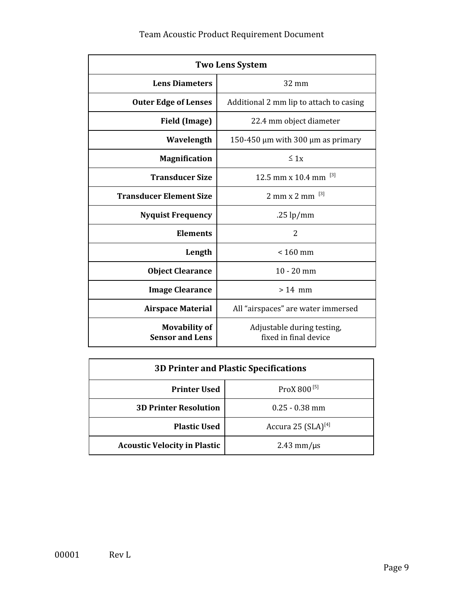## Team Acoustic Product Requirement Document

| <b>Two Lens System</b>                         |                                                     |  |  |  |
|------------------------------------------------|-----------------------------------------------------|--|--|--|
| <b>Lens Diameters</b>                          | $32 \text{ mm}$                                     |  |  |  |
| <b>Outer Edge of Lenses</b>                    | Additional 2 mm lip to attach to casing             |  |  |  |
| <b>Field (Image)</b>                           | 22.4 mm object diameter                             |  |  |  |
| Wavelength                                     | 150-450 $\mu$ m with 300 $\mu$ m as primary         |  |  |  |
| <b>Magnification</b>                           | $\leq 1x$                                           |  |  |  |
| <b>Transducer Size</b>                         | 12.5 mm x 10.4 mm $^{[3]}$                          |  |  |  |
| <b>Transducer Element Size</b>                 | $2 \text{ mm} \times 2 \text{ mm}$ <sup>[3]</sup>   |  |  |  |
| <b>Nyquist Frequency</b>                       | .25 $lp/mm$                                         |  |  |  |
| <b>Elements</b>                                | 2                                                   |  |  |  |
| Length                                         | $< 160$ mm                                          |  |  |  |
| <b>Object Clearance</b>                        | $10 - 20$ mm                                        |  |  |  |
| <b>Image Clearance</b>                         | $>14$ mm                                            |  |  |  |
| <b>Airspace Material</b>                       | All "airspaces" are water immersed                  |  |  |  |
| <b>Movability of</b><br><b>Sensor and Lens</b> | Adjustable during testing,<br>fixed in final device |  |  |  |

| <b>3D Printer and Plastic Specifications</b>   |                         |  |  |  |  |
|------------------------------------------------|-------------------------|--|--|--|--|
| ProX 800 <sup>[5]</sup><br><b>Printer Used</b> |                         |  |  |  |  |
| <b>3D Printer Resolution</b>                   | $0.25 - 0.38$ mm        |  |  |  |  |
| <b>Plastic Used</b>                            | Accura 25 $(SLA)^{[4]}$ |  |  |  |  |
| <b>Acoustic Velocity in Plastic</b>            | $2.43$ mm/ $\mu$ s      |  |  |  |  |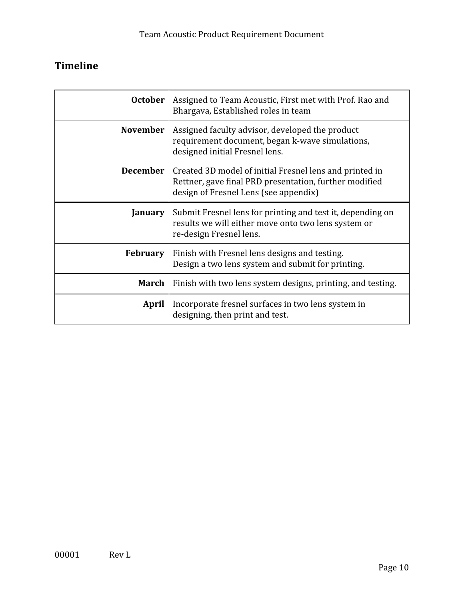# <span id="page-9-0"></span>**Timeline**

| <b>October</b>  | Assigned to Team Acoustic, First met with Prof. Rao and<br>Bhargava, Established roles in team                                                             |  |  |
|-----------------|------------------------------------------------------------------------------------------------------------------------------------------------------------|--|--|
| <b>November</b> | Assigned faculty advisor, developed the product<br>requirement document, began k-wave simulations,<br>designed initial Fresnel lens.                       |  |  |
| <b>December</b> | Created 3D model of initial Fresnel lens and printed in<br>Rettner, gave final PRD presentation, further modified<br>design of Fresnel Lens (see appendix) |  |  |
| January         | Submit Fresnel lens for printing and test it, depending on<br>results we will either move onto two lens system or<br>re-design Fresnel lens.               |  |  |
| <b>February</b> | Finish with Fresnel lens designs and testing.<br>Design a two lens system and submit for printing.                                                         |  |  |
| <b>March</b>    | Finish with two lens system designs, printing, and testing.                                                                                                |  |  |
| April           | Incorporate fresnel surfaces in two lens system in<br>designing, then print and test.                                                                      |  |  |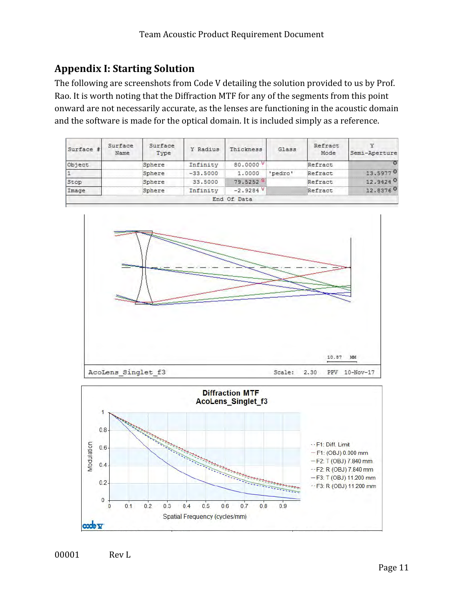## <span id="page-10-0"></span>**Appendix I: Starting Solution**

The following are screenshots from Code V detailing the solution provided to us by Prof. Rao. It is worth noting that the Diffraction MTF for any of the segments from this point onward are not necessarily accurate, as the lenses are functioning in the acoustic domain and the software is made for the optical domain. It is included simply as a reference.

| Surface # | Surface<br>Name | Surface<br>Type | Y Radius   | Thickness   | Glass   | Refract<br>Mode | Semi-Aperture |
|-----------|-----------------|-----------------|------------|-------------|---------|-----------------|---------------|
| Object    |                 | Sphere          | Infinity   | 80.0000 V   |         | Refract         |               |
|           |                 | Sphere          | $-33.5000$ | 1,0000      | 'pedro' | Refract         | 13.59770      |
| Stop      |                 | Sphere          | 33,5000    | 79.52528    |         | Refract         | 12.94240      |
| Image     |                 | Sphere          | Infinity   | $-2.9284V$  |         | Refract         | 12.83760      |
|           |                 |                 |            | End Of Data |         |                 |               |



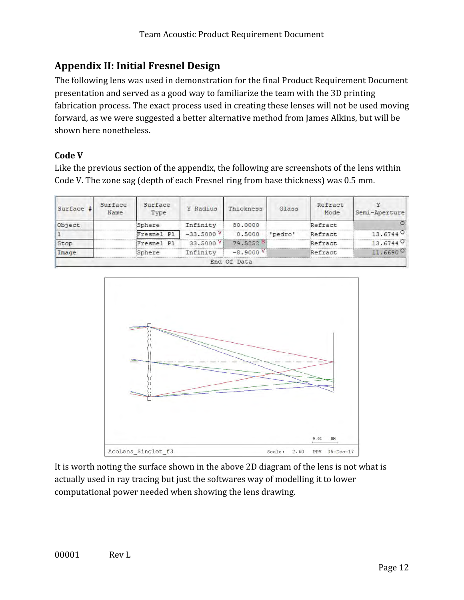## <span id="page-11-0"></span>**Appendix II: Initial Fresnel Design**

The following lens was used in demonstration for the final Product Requirement Document presentation and served as a good way to familiarize the team with the 3D printing fabrication process. The exact process used in creating these lenses will not be used moving forward, as we were suggested a better alternative method from James Alkins, but will be shown here nonetheless.

### **Code V**

Like the previous section of the appendix, the following are screenshots of the lens within Code V. The zone sag (depth of each Fresnel ring from base thickness) was 0.5 mm.

| Surface # | Surface<br>Name | Surface<br>Type | Y Radius             | Thickness   | Glass   | Refract<br>Mode | Semi-Aperture          |
|-----------|-----------------|-----------------|----------------------|-------------|---------|-----------------|------------------------|
| Object    |                 | Sphere          | Infinity             | 80,0000     |         | Refract         |                        |
|           |                 | Fresnel Pl      | $-33,5000$<br>v:     | 0.5000      | 'pedro' | Refract         | 13.67440               |
| Stop      |                 | Fresnel Pl      | 33.5000 <sup>V</sup> | 79.52528    |         | Refract         | 13.6744 0              |
| Image     |                 | Sphere          | Infinity             | $-8.9000V$  |         | Refract         | $11.6690$ <sup>Q</sup> |
|           |                 |                 |                      | End Of Data |         |                 |                        |



It is worth noting the surface shown in the above 2D diagram of the lens is not what is actually used in ray tracing but just the softwares way of modelling it to lower computational power needed when showing the lens drawing.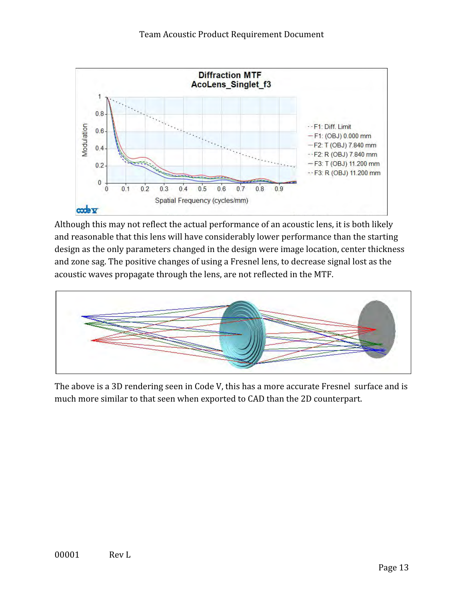

Although this may not reflect the actual performance of an acoustic lens, it is both likely and reasonable that this lens will have considerably lower performance than the starting design as the only parameters changed in the design were image location, center thickness and zone sag. The positive changes of using a Fresnel lens, to decrease signal lost as the acoustic waves propagate through the lens, are not reflected in the MTF.



The above is a 3D rendering seen in Code V, this has a more accurate Fresnel surface and is much more similar to that seen when exported to CAD than the 2D counterpart.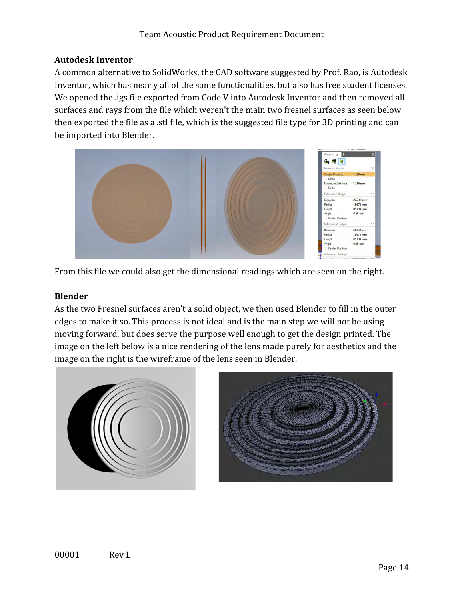#### **Autodesk Inventor**

A common alternative to SolidWorks, the CAD software suggested by Prof. Rao, is Autodesk Inventor, which has nearly all of the same functionalities, but also has free student licenses. We opened the .igs file exported from Code V into Autodesk Inventor and then removed all surfaces and rays from the file which weren't the main two fresnel surfaces as seen below then exported the file as a .stl file, which is the suggested file type for 3D printing and can be imported into Blender.



From this file we could also get the dimensional readings which are seen on the right.

#### **Blender**

As the two Fresnel surfaces aren't a solid object, we then used Blender to fill in the outer edges to make it so. This process is not ideal and is the main step we will not be using moving forward, but does serve the purpose well enough to get the design printed. The image on the left below is a nice rendering of the lens made purely for aesthetics and the image on the right is the wireframe of the lens seen in Blender.



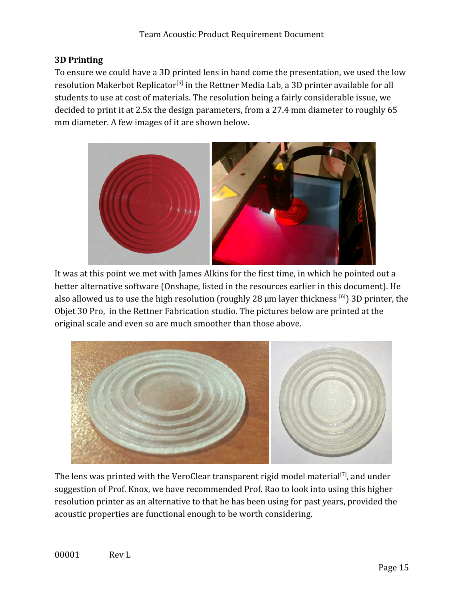### **3D Printing**

To ensure we could have a 3D printed lens in hand come the presentation, we used the low resolution Makerbot Replicator<sup>[5]</sup> in the Rettner Media Lab, a 3D printer available for all students to use at cost of materials. The resolution being a fairly considerable issue, we decided to print it at 2.5x the design parameters, from a 27.4 mm diameter to roughly 65 mm diameter. A few images of it are shown below.



It was at this point we met with James Alkins for the first time, in which he pointed out a better alternative software (Onshape, listed in the resources earlier in this document). He also allowed us to use the high resolution (roughly 28  $\mu$ m layer thickness [6]) 3D printer, the Objet 30 Pro, in the Rettner Fabrication studio. The pictures below are printed at the original scale and even so are much smoother than those above.



The lens was printed with the VeroClear transparent rigid model material<sup>[7]</sup>, and under suggestion of Prof. Knox, we have recommended Prof. Rao to look into using this higher resolution printer as an alternative to that he has been using for past years, provided the acoustic properties are functional enough to be worth considering.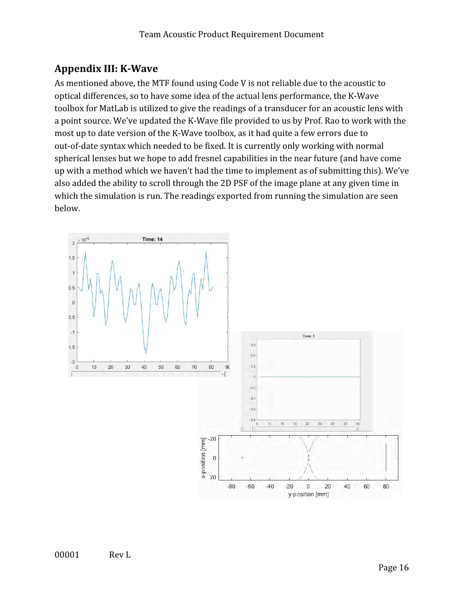## <span id="page-15-0"></span>**Appendix III: K-Wave**

As mentioned above, the MTF found using Code V is not reliable due to the acoustic to optical differences, so to have some idea of the actual lens performance, the K-Wave toolbox for MatLab is utilized to give the readings of a transducer for an acoustic lens with a point source. We've updated the K-Wave file provided to us by Prof. Rao to work with the most up to date version of the K-Wave toolbox, as it had quite a few errors due to out-of-date syntax which needed to be fixed. It is currently only working with normal spherical lenses but we hope to add fresnel capabilities in the near future (and have come up with a method which we haven't had the time to implement as of submitting this). We've also added the ability to scroll through the 2D PSF of the image plane at any given time in which the simulation is run. The readings exported from running the simulation are seen below.

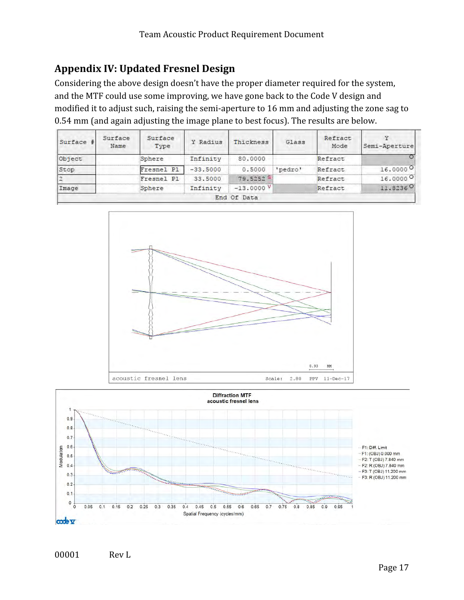## <span id="page-16-0"></span>**Appendix IV: Updated Fresnel Design**

Considering the above design doesn't have the proper diameter required for the system, and the MTF could use some improving, we have gone back to the Code V design and modified it to adjust such, raising the semi-aperture to 16 mm and adjusting the zone sag to 0.54 mm (and again adjusting the image plane to best focus). The results are below.

| Surface # | Surface<br>Name | Surface<br>Type | Y Radius   | Thickness            | Glass   | Refract<br>Mode | Semi-Aperture |
|-----------|-----------------|-----------------|------------|----------------------|---------|-----------------|---------------|
| Object    |                 | Sphere          | Infinity   | 80,0000              |         | Refract         |               |
| Stop      |                 | Fresnel Pl      | $-33.5000$ | 0.5000               | 'pedro' | Refract         | 16,0000       |
|           |                 | Fresnel Pl      | 33,5000    | 79.5252 <sup>S</sup> |         | Refract         | 16.0000       |
| Image     |                 | Sphere          | Infinity   | $-13,0000$ V         |         | Refract         | 11.8236 0     |
|           |                 |                 |            | End Of Data          |         |                 |               |



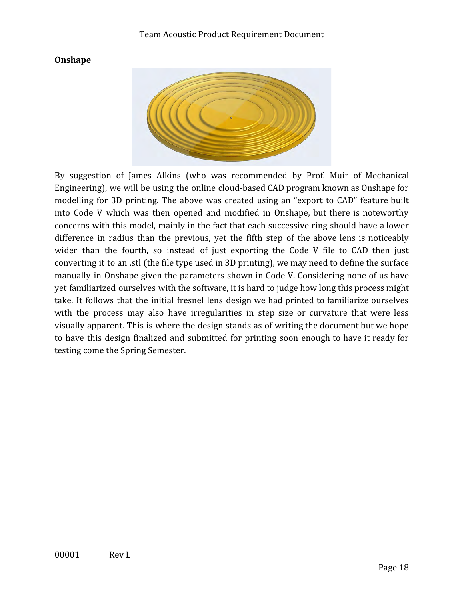#### **Onshape**



By suggestion of James Alkins (who was recommended by Prof. Muir of Mechanical Engineering), we will be using the online cloud-based CAD program known as Onshape for modelling for 3D printing. The above was created using an "export to CAD" feature built into Code V which was then opened and modified in Onshape, but there is noteworthy concerns with this model, mainly in the fact that each successive ring should have a lower difference in radius than the previous, yet the fifth step of the above lens is noticeably wider than the fourth, so instead of just exporting the Code V file to CAD then just converting it to an .stl (the file type used in 3D printing), we may need to define the surface manually in Onshape given the parameters shown in Code V. Considering none of us have yet familiarized ourselves with the software, it is hard to judge how long this process might take. It follows that the initial fresnel lens design we had printed to familiarize ourselves with the process may also have irregularities in step size or curvature that were less visually apparent. This is where the design stands as of writing the document but we hope to have this design finalized and submitted for printing soon enough to have it ready for testing come the Spring Semester.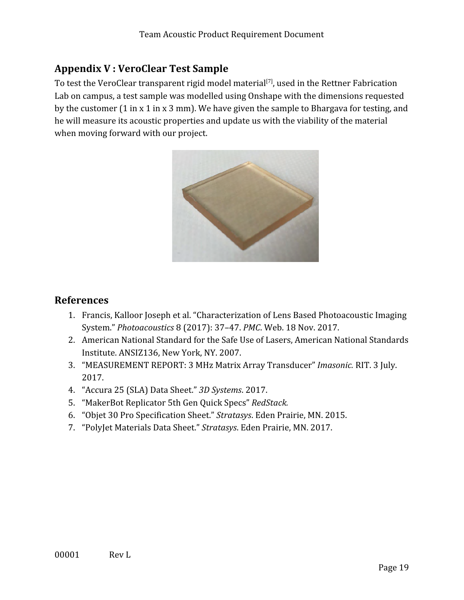## <span id="page-18-0"></span>**Appendix V : VeroClear Test Sample**

To test the VeroClear transparent rigid model material<sup>[7]</sup>, used in the Rettner Fabrication Lab on campus, a test sample was modelled using Onshape with the dimensions requested by the customer (1 in x 1 in x 3 mm). We have given the sample to Bhargava for testing, and he will measure its acoustic properties and update us with the viability of the material when moving forward with our project.



#### <span id="page-18-1"></span>**References**

- 1. Francis, Kalloor Joseph et al. "Characterization of Lens Based Photoacoustic Imaging System." *Photoacoustics* 8 (2017): 37–47. *PMC*. Web. 18 Nov. 2017.
- 2. American National Standard for the Safe Use of Lasers, American National Standards Institute. ANSIZ136, New York, NY. 2007.
- 3. "MEASUREMENT REPORT: 3 MHz Matrix Array Transducer" *Imasonic.* RIT. 3 July. 2017.
- 4. "Accura 25 (SLA) Data Sheet." *3D Systems*. 2017.
- 5. "MakerBot Replicator 5th Gen Quick Specs" *RedStack.*
- 6. "Objet 30 Pro Specification Sheet." *Stratasys*. Eden Prairie, MN. 2015.
- 7. "PolyJet Materials Data Sheet." *Stratasys*. Eden Prairie, MN. 2017.